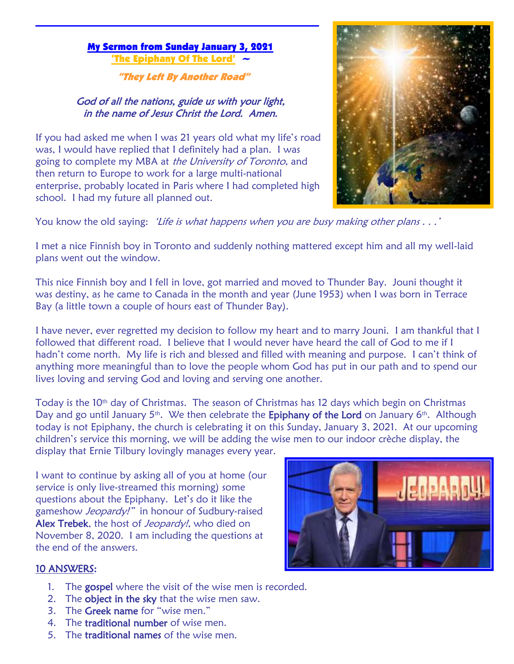#### My Sermon from Sunday January 3, 2021 The Epiphany Of The Lord

"They Left By Another Road"

## God of all the nations, guide us with your light, in the name of Jesus Christ the Lord. Amen.

If you had asked me when I was 21 years old what my life's road was, I would have replied that I definitely had a plan. I was going to complete my MBA at the University of Toronto, and then return to Europe to work for a large multi-national enterprise, probably located in Paris where I had completed high school. I had my future all planned out.



You know the old saying: 'Life is what happens when you are busy making other plans . . .'

I met a nice Finnish boy in Toronto and suddenly nothing mattered except him and all my well-laid plans went out the window.

This nice Finnish boy and I fell in love, got married and moved to Thunder Bay. Jouni thought it was destiny, as he came to Canada in the month and year (June 1953) when I was born in Terrace Bay (a little town a couple of hours east of Thunder Bay).

I have never, ever regretted my decision to follow my heart and to marry Jouni. I am thankful that I followed that different road. I believe that I would never have heard the call of God to me if I hadn't come north. My life is rich and blessed and filled with meaning and purpose. I can't think of anything more meaningful than to love the people whom God has put in our path and to spend our lives loving and serving God and loving and serving one another.

Today is the 10<sup>th</sup> day of Christmas. The season of Christmas has 12 days which begin on Christmas Day and go until January 5<sup>th</sup>. We then celebrate the **Epiphany of the Lord** on January 6<sup>th</sup>. Although today is not Epiphany, the church is celebrating it on this Sunday, January 3, 2021. At our upcoming children's service this morning, we will be adding the wise men to our indoor crèche display, the display that Ernie Tilbury lovingly manages every year.

I want to continue by asking all of you at home (our service is only live-streamed this morning) some questions about the Epiphany. Let's do it like the gameshow Jeopardy!" in honour of Sudbury-raised Alex Trebek, the host of *Jeopardy!*, who died on November 8, 2020. I am including the questions at the end of the answers.



## 10 ANSWERS:

- 1. The gospel where the visit of the wise men is recorded.
- 2. The object in the sky that the wise men saw.
- 3. The Greek name for "wise men."
- 4. The traditional number of wise men.
- 5. The traditional names of the wise men.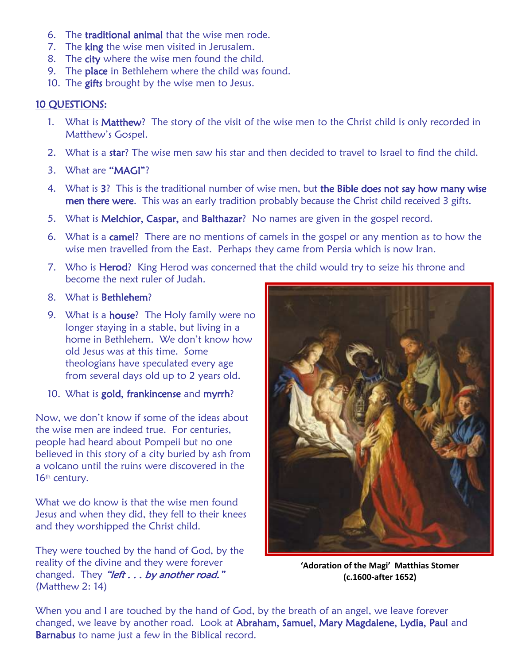- 6. The traditional animal that the wise men rode.
- 7. The king the wise men visited in Jerusalem.
- 8. The city where the wise men found the child.
- 9. The place in Bethlehem where the child was found.
- 10. The gifts brought by the wise men to Jesus.

# 10 QUESTIONS:

- 1. What is Matthew? The story of the visit of the wise men to the Christ child is only recorded in Matthew's Gospel.
- 2. What is a star? The wise men saw his star and then decided to travel to Israel to find the child.
- 3. What are "MAGI"?
- 4. What is 3? This is the traditional number of wise men, but the Bible does not say how many wise men there were. This was an early tradition probably because the Christ child received 3 gifts.
- 5. What is Melchior, Caspar, and Balthazar? No names are given in the gospel record.
- 6. What is a camel? There are no mentions of camels in the gospel or any mention as to how the wise men travelled from the East. Perhaps they came from Persia which is now Iran.
- 7. Who is Herod? King Herod was concerned that the child would try to seize his throne and become the next ruler of Judah.
- 8. What is Bethlehem?
- 9. What is a **house**? The Holy family were no longer staying in a stable, but living in a home in Bethlehem. We don't know how old Jesus was at this time. Some theologians have speculated every age from several days old up to 2 years old.
- 10. What is gold, frankincense and myrrh?

Now, we don't know if some of the ideas about the wise men are indeed true. For centuries, people had heard about Pompeii but no one believed in this story of a city buried by ash from a volcano until the ruins were discovered in the 16<sup>th</sup> century.

What we do know is that the wise men found Jesus and when they did, they fell to their knees and they worshipped the Christ child.

They were touched by the hand of God, by the reality of the divine and they were forever changed. They "left . . . by another road." (Matthew 2: 14)



**'Adoration of the Magi' Matthias Stomer (c.1600-after 1652)**

When you and I are touched by the hand of God, by the breath of an angel, we leave forever changed, we leave by another road. Look at Abraham, Samuel, Mary Magdalene, Lydia, Paul and Barnabus to name just a few in the Biblical record.